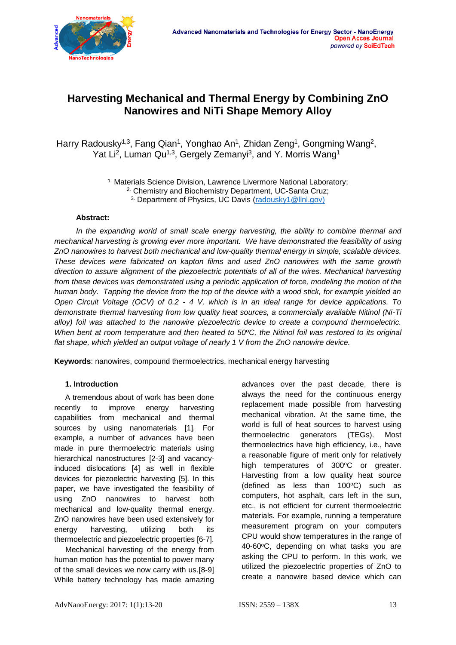

# **Harvesting Mechanical and Thermal Energy by Combining ZnO Nanowires and NiTi Shape Memory Alloy**

Harry Radousky<sup>1,3</sup>, Fang Qian<sup>1</sup>, Yonghao An<sup>1</sup>, Zhidan Zeng<sup>1</sup>, Gongming Wang<sup>2</sup>, Yat Li<sup>2</sup>, Luman Qu<sup>1,3</sup>, Gergely Zemanyi<sup>3</sup>, and Y. Morris Wang<sup>1</sup>

> <sup>1.</sup> Materials Science Division, Lawrence Livermore National Laboratory; 2. Chemistry and Biochemistry Department, UC-Santa Cruz; <sup>3.</sup> Department of Physics, UC Davis [\(radousky1@llnl.gov\)](mailto:radousky1@llnl.gov)

### **Abstract:**

*In the expanding world of small scale energy harvesting, the ability to combine thermal and mechanical harvesting is growing ever more important. We have demonstrated the feasibility of using ZnO nanowires to harvest both mechanical and low-quality thermal energy in simple, scalable devices. These devices were fabricated on kapton films and used ZnO nanowires with the same growth direction to assure alignment of the piezoelectric potentials of all of the wires. Mechanical harvesting from these devices was demonstrated using a periodic application of force, modeling the motion of the human body. Tapping the device from the top of the device with a wood stick, for example yielded an Open Circuit Voltage (OCV) of 0.2 - 4 V, which is in an ideal range for device applications. To demonstrate thermal harvesting from low quality heat sources, a commercially available Nitinol (Ni-Ti alloy) foil was attached to the nanowire piezoelectric device to create a compound thermoelectric. When bent at room temperature and then heated to 50***<sup>o</sup>***C, the Nitinol foil was restored to its original flat shape, which yielded an output voltage of nearly 1 V from the ZnO nanowire device.* 

**Keywords**: nanowires, compound thermoelectrics, mechanical energy harvesting

## **1. Introduction**

A tremendous about of work has been done recently to improve energy harvesting capabilities from mechanical and thermal sources by using nanomaterials [1]. For example, a number of advances have been made in pure thermoelectric materials using hierarchical nanostructures [2-3] and vacancyinduced dislocations [4] as well in flexible devices for piezoelectric harvesting [5]. In this paper, we have investigated the feasibility of using ZnO nanowires to harvest both mechanical and low-quality thermal energy. ZnO nanowires have been used extensively for energy harvesting, utilizing both its thermoelectric and piezoelectric properties [6-7].

Mechanical harvesting of the energy from human motion has the potential to power many of the small devices we now carry with us.[8-9] While battery technology has made amazing advances over the past decade, there is always the need for the continuous energy replacement made possible from harvesting mechanical vibration. At the same time, the world is full of heat sources to harvest using thermoelectric generators (TEGs). Most thermoelectrics have high efficiency, i.e., have a reasonable figure of merit only for relatively high temperatures of 300°C or greater. Harvesting from a low quality heat source (defined as less than  $100^{\circ}$ C) such as computers, hot asphalt, cars left in the sun, etc., is not efficient for current thermoelectric materials. For example, running a temperature measurement program on your computers CPU would show temperatures in the range of 40-60°C, depending on what tasks you are asking the CPU to perform. In this work, we utilized the piezoelectric properties of ZnO to create a nanowire based device which can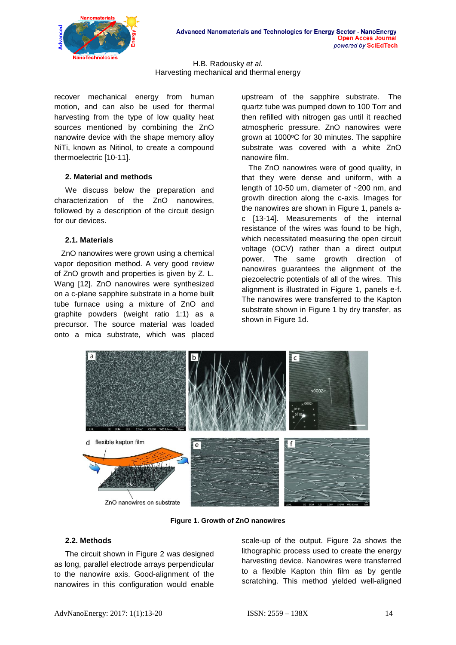

recover mechanical energy from human motion, and can also be used for thermal harvesting from the type of low quality heat sources mentioned by combining the ZnO nanowire device with the shape memory alloy NiTi, known as Nitinol, to create a compound thermoelectric [10-11].

## **2. Material and methods**

We discuss below the preparation and characterization of the ZnO nanowires, followed by a description of the circuit design for our devices.

# **2.1. Materials**

ZnO nanowires were grown using a chemical vapor deposition method. A very good review of ZnO growth and properties is given by Z. L. Wang [12]. ZnO nanowires were synthesized on a c-plane sapphire substrate in a home built tube furnace using a mixture of ZnO and graphite powders (weight ratio 1:1) as a precursor. The source material was loaded onto a mica substrate, which was placed

upstream of the sapphire substrate. The quartz tube was pumped down to 100 Torr and then refilled with nitrogen gas until it reached atmospheric pressure. ZnO nanowires were grown at 1000°C for 30 minutes. The sapphire substrate was covered with a white ZnO nanowire film.

The ZnO nanowires were of good quality, in that they were dense and uniform, with a length of 10-50 um, diameter of ~200 nm, and growth direction along the c-axis. Images for the nanowires are shown in Figure 1, panels ac [13-14]. Measurements of the internal resistance of the wires was found to be high, which necessitated measuring the open circuit voltage (OCV) rather than a direct output power. The same growth direction of nanowires guarantees the alignment of the piezoelectric potentials of all of the wires. This alignment is illustrated in Figure 1, panels e-f. The nanowires were transferred to the Kapton substrate shown in Figure 1 by dry transfer, as shown in Figure 1d.



**Figure 1. Growth of ZnO nanowires**

# **2.2. Methods**

The circuit shown in Figure 2 was designed as long, parallel electrode arrays perpendicular to the nanowire axis. Good-alignment of the nanowires in this configuration would enable

scale-up of the output. Figure 2a shows the lithographic process used to create the energy harvesting device. Nanowires were transferred to a flexible Kapton thin film as by gentle scratching. This method yielded well-aligned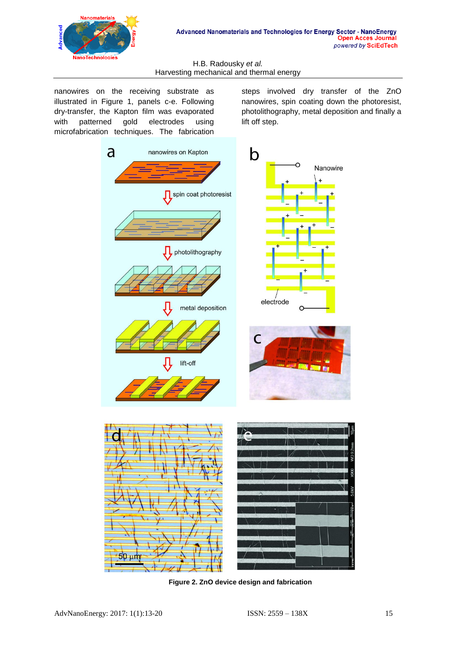

nanowires on the receiving substrate as illustrated in Figure 1, panels c-e. Following dry-transfer, the Kapton film was evaporated with patterned gold electrodes using microfabrication techniques. The fabrication steps involved dry transfer of the ZnO nanowires, spin coating down the photoresist, photolithography, metal deposition and finally a lift off step.



**Figure 2. ZnO device design and fabrication**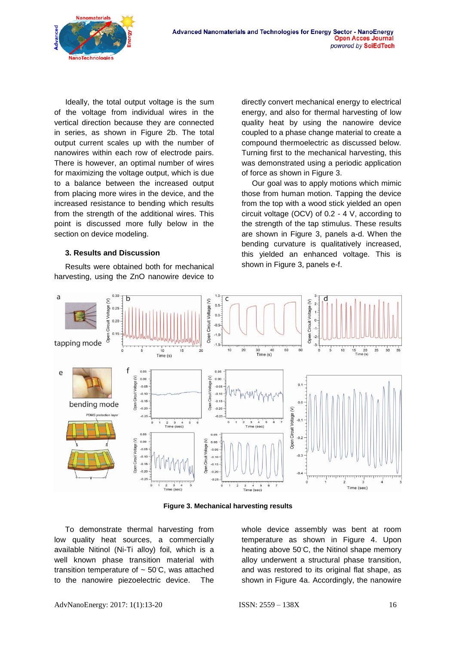

Ideally, the total output voltage is the sum of the voltage from individual wires in the vertical direction because they are connected in series, as shown in Figure 2b. The total output current scales up with the number of nanowires within each row of electrode pairs. There is however, an optimal number of wires for maximizing the voltage output, which is due to a balance between the increased output from placing more wires in the device, and the increased resistance to bending which results from the strength of the additional wires. This point is discussed more fully below in the section on device modeling.

#### **3. Results and Discussion**

Results were obtained both for mechanical harvesting, using the ZnO nanowire device to directly convert mechanical energy to electrical energy, and also for thermal harvesting of low quality heat by using the nanowire device coupled to a phase change material to create a compound thermoelectric as discussed below. Turning first to the mechanical harvesting, this was demonstrated using a periodic application of force as shown in Figure 3.

Our goal was to apply motions which mimic those from human motion. Tapping the device from the top with a wood stick yielded an open circuit voltage (OCV) of 0.2 - 4 V, according to the strength of the tap stimulus. These results are shown in Figure 3, panels a-d. When the bending curvature is qualitatively increased, this yielded an enhanced voltage. This is shown in Figure 3, panels e-f.



**Figure 3. Mechanical harvesting results**

To demonstrate thermal harvesting from low quality heat sources, a commercially available Nitinol (Ni-Ti alloy) foil, which is a well known phase transition material with transition temperature of ~ 50**◦**C, was attached to the nanowire piezoelectric device. The

whole device assembly was bent at room temperature as shown in Figure 4. Upon heating above 50**◦**C, the Nitinol shape memory alloy underwent a structural phase transition, and was restored to its original flat shape, as shown in Figure 4a. Accordingly, the nanowire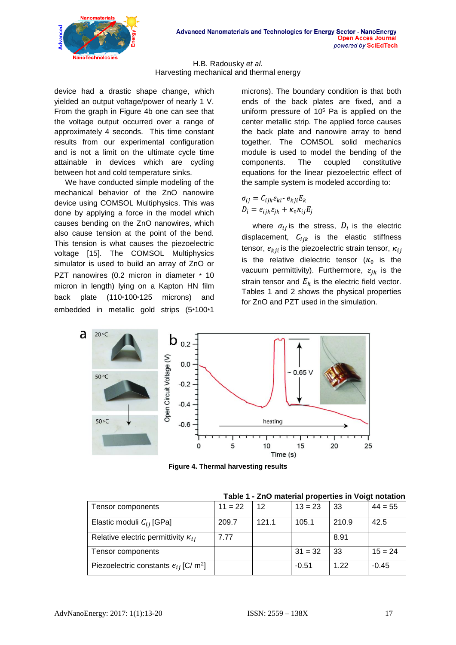

device had a drastic shape change, which yielded an output voltage/power of nearly 1 V. From the graph in Figure 4b one can see that the voltage output occurred over a range of approximately 4 seconds. This time constant results from our experimental configuration and is not a limit on the ultimate cycle time attainable in devices which are cycling between hot and cold temperature sinks.

We have conducted simple modeling of the mechanical behavior of the ZnO nanowire device using COMSOL Multiphysics. This was done by applying a force in the model which causes bending on the ZnO nanowires, which also cause tension at the point of the bend. This tension is what causes the piezoelectric voltage [15]. The COMSOL Multiphysics simulator is used to build an array of ZnO or PZT nanowires (0.2 micron in diameter \* 10 micron in length) lying on a Kapton HN film back plate (110\*100\*125 microns) and embedded in metallic gold strips (5\*100\*1

microns). The boundary condition is that both ends of the back plates are fixed, and a uniform pressure of  $10<sup>5</sup>$  Pa is applied on the center metallic strip. The applied force causes the back plate and nanowire array to bend together. The COMSOL solid mechanics module is used to model the bending of the components. The coupled constitutive equations for the linear piezoelectric effect of the sample system is modeled according to:

$$
\sigma_{ij} = C_{ijk} \varepsilon_{kl} - e_{kji} E_k
$$

$$
D_i = e_{ijk} \varepsilon_{ik} + \kappa_0 \kappa_{ij} E_i
$$

where  $\sigma_{ij}$  is the stress,  $D_i$  is the electric displacement,  $C_{ijk}$  is the elastic stiffness tensor,  $e_{kji}$  is the piezoelectric strain tensor,  $\kappa_{ii}$ is the relative dielectric tensor  $(\kappa_0$  is the vacuum permittivity). Furthermore,  $\varepsilon_{ik}$  is the strain tensor and  $E_k$  is the electric field vector. Tables 1 and 2 shows the physical properties for ZnO and PZT used in the simulation.



**Figure 4. Thermal harvesting results**

| Tensor components                                     | $11 = 22$ | 12    | $13 = 23$ | 33    | $44 = 55$ |
|-------------------------------------------------------|-----------|-------|-----------|-------|-----------|
| Elastic moduli $C_{ij}$ [GPa]                         | 209.7     | 121.1 | 105.1     | 210.9 | 42.5      |
| Relative electric permittivity $\kappa_{ij}$          | 7.77      |       |           | 8.91  |           |
| Tensor components                                     |           |       | $31 = 32$ | 33    | $15 = 24$ |
| Piezoelectric constants $e_{ij}$ [C/ m <sup>2</sup> ] |           |       | $-0.51$   | 1.22  | $-0.45$   |

**Table 1 - ZnO material properties in Voigt notation**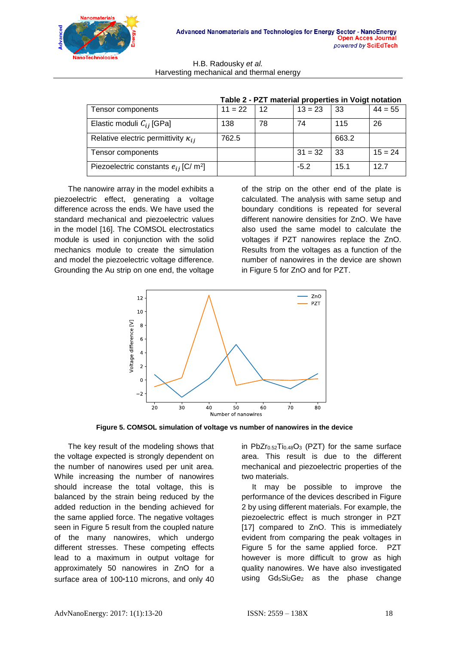

| Tensor components                                     | $11 = 22$ | 12 | $13 = 23$ | 33    | $44 = 55$ |
|-------------------------------------------------------|-----------|----|-----------|-------|-----------|
| Elastic moduli $C_{ij}$ [GPa]                         | 138       | 78 | 74        | 115   | 26        |
| Relative electric permittivity $\kappa_{ij}$          | 762.5     |    |           | 663.2 |           |
| Tensor components                                     |           |    | $31 = 32$ | -33   | $15 = 24$ |
| Piezoelectric constants $e_{ij}$ [C/ m <sup>2</sup> ] |           |    | $-5.2$    | 15.1  | 12.7      |

|  | Table 2 - PZT material properties in Voigt notation |
|--|-----------------------------------------------------|
|--|-----------------------------------------------------|

The nanowire array in the model exhibits a piezoelectric effect, generating a voltage difference across the ends. We have used the standard mechanical and piezoelectric values in the model [16]. The COMSOL electrostatics module is used in conjunction with the solid mechanics module to create the simulation and model the piezoelectric voltage difference. Grounding the Au strip on one end, the voltage

of the strip on the other end of the plate is calculated. The analysis with same setup and boundary conditions is repeated for several different nanowire densities for ZnO. We have also used the same model to calculate the voltages if PZT nanowires replace the ZnO. Results from the voltages as a function of the number of nanowires in the device are shown in Figure 5 for ZnO and for PZT.



**Figure 5. COMSOL simulation of voltage vs number of nanowires in the device**

The key result of the modeling shows that the voltage expected is strongly dependent on the number of nanowires used per unit area. While increasing the number of nanowires should increase the total voltage, this is balanced by the strain being reduced by the added reduction in the bending achieved for the same applied force. The negative voltages seen in Figure 5 result from the coupled nature of the many nanowires, which undergo different stresses. These competing effects lead to a maximum in output voltage for approximately 50 nanowires in ZnO for a surface area of 100\*110 microns, and only 40

in PbZ $r_{0.52}T_{0.48}O_3$  $r_{0.52}T_{0.48}O_3$  $r_{0.52}T_{0.48}O_3$  (PZT) for the same surface area. This result is due to the different mechanical and piezoelectric properties of the two materials.

It may be possible to improve the performance of the devices described in Figure 2 by using different materials. For example, the piezoelectric effect is much stronger in PZT [17] compared to ZnO. This is immediately evident from comparing the peak voltages in Figure 5 for the same applied force. PZT however is more difficult to grow as high quality nanowires. We have also investigated using  $Gd_5Si_2Ge_2$  as the phase change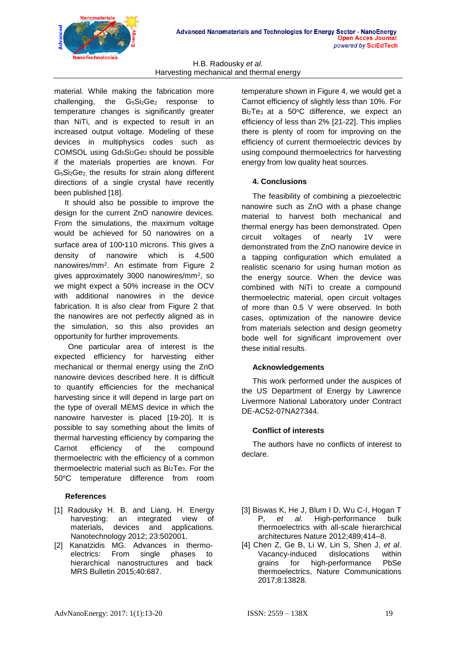

material. While making the fabrication more challenging, the G<sub>5</sub>Si<sub>2</sub>Ge<sub>2</sub> response to temperature changes is significantly greater than NiTi, and is expected to result in an increased output voltage. Modeling of these devices in multiphysics codes such as COMSOL using Gd5Si2Ge2 should be possible if the materials properties are known. For G5Si2Ge2, the results for strain along different directions of a single crystal have recently been published [18].

It should also be possible to improve the design for the current ZnO nanowire devices. From the simulations, the maximum voltage would be achieved for 50 nanowires on a surface area of 100\*110 microns. This gives a density of nanowire which is 4,500 nanowires/mm<sup>2</sup> . An estimate from Figure 2 gives approximately 3000 nanowires/mm<sup>2</sup> , so we might expect a 50% increase in the OCV with additional nanowires in the device fabrication. It is also clear from Figure 2 that the nanowires are not perfectly aligned as in the simulation, so this also provides an opportunity for further improvements.

One particular area of interest is the expected efficiency for harvesting either mechanical or thermal energy using the ZnO nanowire devices described here. It is difficult to quantify efficiencies for the mechanical harvesting since it will depend in large part on the type of overall MEMS device in which the nanowire harvester is placed [19-20]. It is possible to say something about the limits of thermal harvesting efficiency by comparing the Carnot efficiency of the compound thermoelectric with the efficiency of a common thermoelectric material such as Bi2Te3. For the 50**<sup>o</sup>**C temperature difference from room

# **References**

- [1] Radousky H. B. and Liang, H. Energy harvesting: an integrated view of<br>materials, devices and applications. materials, devices and applications. Nanotechnology 2012; 23:502001.
- [2] Kanatzidis MG. Advances in thermoelectrics: From single phases to hierarchical nanostructures and back [MRS Bulletin](http://journals.cambridge.org/action/displayJournal?jid=MRS) 2015;40:687.

temperature shown in Figure 4, we would get a Carnot efficiency of slightly less than 10%. For  $Bi<sub>2</sub>Te<sub>3</sub>$  at a 50 $°C$  difference, we expect an efficiency of less than 2% [21-22]. This implies there is plenty of room for improving on the efficiency of current thermoelectric devices by using compound thermoelectrics for harvesting energy from low quality heat sources.

# **4. Conclusions**

The feasibility of combining a piezoelectric nanowire such as ZnO with a phase change material to harvest both mechanical and thermal energy has been demonstrated. Open circuit voltages of nearly 1V were demonstrated from the ZnO nanowire device in a tapping configuration which emulated a realistic scenario for using human motion as the energy source. When the device was combined with NiTi to create a compound thermoelectric material, open circuit voltages of more than 0.5 V were observed. In both cases, optimization of the nanowire device from materials selection and design geometry bode well for significant improvement over these initial results.

# **Acknowledgements**

This work performed under the auspices of the US Department of Energy by Lawrence Livermore National Laboratory under Contract DE-AC52-07NA27344.

## **Conflict of interests**

The authors have no conflicts of interest to declare.

- [3] Biswas K, He J, Blum I D, Wu C-I, Hogan T P, *et al*. High-performance bulk thermoelectrics with all-scale hierarchical architectures Nature 2012;489;414–8.
- [4] Chen Z, Ge B, Li W, Lin S, Shen J, *et al*. Vacancy-induced dislocations within grains for high-performance PbSe thermoelectrics, Nature Communications 2017;8:13828.